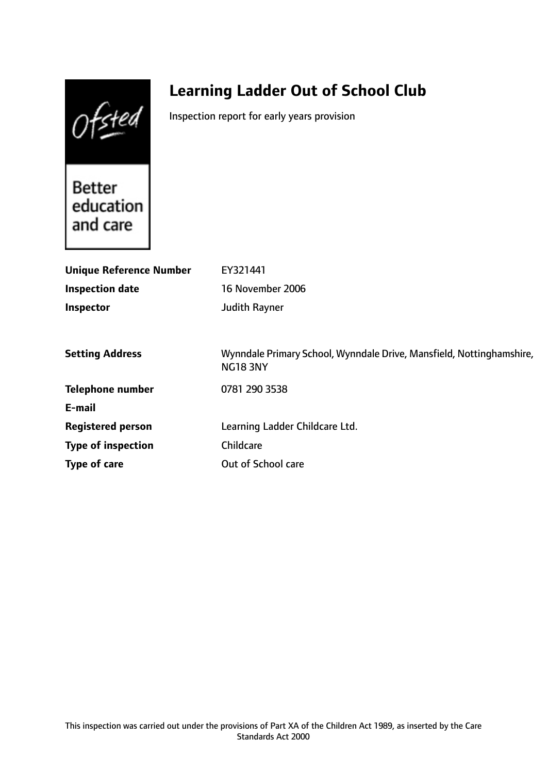Ofsted

# **Learning Ladder Out of School Club**

Inspection report for early years provision

**Better** education and care

| EY321441                                                                                |
|-----------------------------------------------------------------------------------------|
| 16 November 2006                                                                        |
| Judith Rayner                                                                           |
|                                                                                         |
| Wynndale Primary School, Wynndale Drive, Mansfield, Nottinghamshire,<br><b>NG18 3NY</b> |
| 0781 290 3538                                                                           |
|                                                                                         |
| Learning Ladder Childcare Ltd.                                                          |
| Childcare                                                                               |
| Out of School care                                                                      |
|                                                                                         |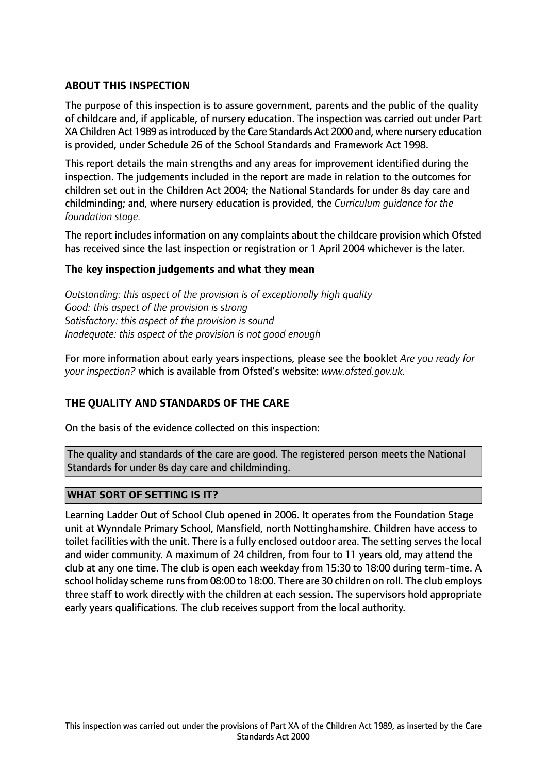# **ABOUT THIS INSPECTION**

The purpose of this inspection is to assure government, parents and the public of the quality of childcare and, if applicable, of nursery education. The inspection was carried out under Part XA Children Act 1989 as introduced by the Care Standards Act 2000 and, where nursery education is provided, under Schedule 26 of the School Standards and Framework Act 1998.

This report details the main strengths and any areas for improvement identified during the inspection. The judgements included in the report are made in relation to the outcomes for children set out in the Children Act 2004; the National Standards for under 8s day care and childminding; and, where nursery education is provided, the *Curriculum guidance for the foundation stage.*

The report includes information on any complaints about the childcare provision which Ofsted has received since the last inspection or registration or 1 April 2004 whichever is the later.

# **The key inspection judgements and what they mean**

*Outstanding: this aspect of the provision is of exceptionally high quality Good: this aspect of the provision is strong Satisfactory: this aspect of the provision is sound Inadequate: this aspect of the provision is not good enough*

For more information about early years inspections, please see the booklet *Are you ready for your inspection?* which is available from Ofsted's website: *www.ofsted.gov.uk.*

# **THE QUALITY AND STANDARDS OF THE CARE**

On the basis of the evidence collected on this inspection:

The quality and standards of the care are good. The registered person meets the National Standards for under 8s day care and childminding.

# **WHAT SORT OF SETTING IS IT?**

Learning Ladder Out of School Club opened in 2006. It operates from the Foundation Stage unit at Wynndale Primary School, Mansfield, north Nottinghamshire. Children have access to toilet facilities with the unit. There is a fully enclosed outdoor area. The setting serves the local and wider community. A maximum of 24 children, from four to 11 years old, may attend the club at any one time. The club is open each weekday from 15:30 to 18:00 during term-time. A school holiday scheme runs from 08:00 to 18:00. There are 30 children on roll. The club employs three staff to work directly with the children at each session. The supervisors hold appropriate early years qualifications. The club receives support from the local authority.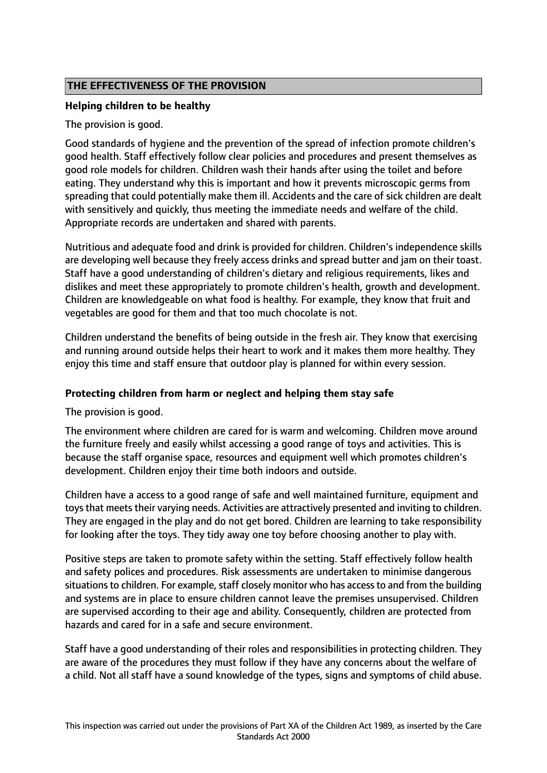# **THE EFFECTIVENESS OF THE PROVISION**

# **Helping children to be healthy**

The provision is good.

Good standards of hygiene and the prevention of the spread of infection promote children's good health. Staff effectively follow clear policies and procedures and present themselves as good role models for children. Children wash their hands after using the toilet and before eating. They understand why this is important and how it prevents microscopic germs from spreading that could potentially make them ill. Accidents and the care of sick children are dealt with sensitively and quickly, thus meeting the immediate needs and welfare of the child. Appropriate records are undertaken and shared with parents.

Nutritious and adequate food and drink is provided for children. Children's independence skills are developing well because they freely access drinks and spread butter and jam on their toast. Staff have a good understanding of children's dietary and religious requirements, likes and dislikes and meet these appropriately to promote children's health, growth and development. Children are knowledgeable on what food is healthy. For example, they know that fruit and vegetables are good for them and that too much chocolate is not.

Children understand the benefits of being outside in the fresh air. They know that exercising and running around outside helps their heart to work and it makes them more healthy. They enjoy this time and staff ensure that outdoor play is planned for within every session.

# **Protecting children from harm or neglect and helping them stay safe**

The provision is good.

The environment where children are cared for is warm and welcoming. Children move around the furniture freely and easily whilst accessing a good range of toys and activities. This is because the staff organise space, resources and equipment well which promotes children's development. Children enjoy their time both indoors and outside.

Children have a access to a good range of safe and well maintained furniture, equipment and toys that meets their varying needs. Activities are attractively presented and inviting to children. They are engaged in the play and do not get bored. Children are learning to take responsibility for looking after the toys. They tidy away one toy before choosing another to play with.

Positive steps are taken to promote safety within the setting. Staff effectively follow health and safety polices and procedures. Risk assessments are undertaken to minimise dangerous situations to children. For example, staff closely monitor who has access to and from the building and systems are in place to ensure children cannot leave the premises unsupervised. Children are supervised according to their age and ability. Consequently, children are protected from hazards and cared for in a safe and secure environment.

Staff have a good understanding of their roles and responsibilities in protecting children. They are aware of the procedures they must follow if they have any concerns about the welfare of a child. Not all staff have a sound knowledge of the types, signs and symptoms of child abuse.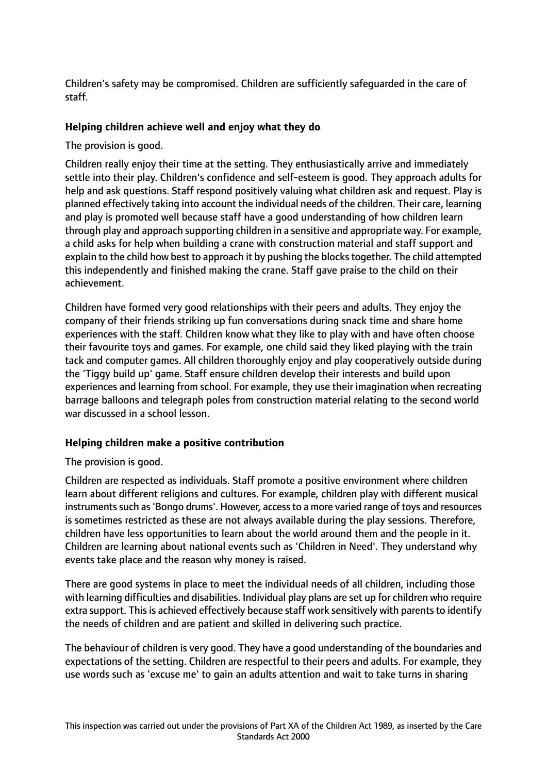Children's safety may be compromised. Children are sufficiently safeguarded in the care of staff.

# **Helping children achieve well and enjoy what they do**

The provision is good.

Children really enjoy their time at the setting. They enthusiastically arrive and immediately settle into their play. Children's confidence and self-esteem is good. They approach adults for help and ask questions. Staff respond positively valuing what children ask and request. Play is planned effectively taking into account the individual needs of the children. Their care, learning and play is promoted well because staff have a good understanding of how children learn through play and approach supporting children in a sensitive and appropriate way. For example, a child asks for help when building a crane with construction material and staff support and explain to the child how best to approach it by pushing the blocks together. The child attempted this independently and finished making the crane. Staff gave praise to the child on their achievement.

Children have formed very good relationships with their peers and adults. They enjoy the company of their friends striking up fun conversations during snack time and share home experiences with the staff. Children know what they like to play with and have often choose their favourite toys and games. For example, one child said they liked playing with the train tack and computer games. All children thoroughly enjoy and play cooperatively outside during the 'Tiggy build up' game. Staff ensure children develop their interests and build upon experiences and learning from school. For example, they use their imagination when recreating barrage balloons and telegraph poles from construction material relating to the second world war discussed in a school lesson.

# **Helping children make a positive contribution**

The provision is good.

Children are respected as individuals. Staff promote a positive environment where children learn about different religions and cultures. For example, children play with different musical instruments such as 'Bongo drums'. However, access to a more varied range of toys and resources is sometimes restricted as these are not always available during the play sessions. Therefore, children have less opportunities to learn about the world around them and the people in it. Children are learning about national events such as 'Children in Need'. They understand why events take place and the reason why money is raised.

There are good systems in place to meet the individual needs of all children, including those with learning difficulties and disabilities. Individual play plans are set up for children who require extra support. This is achieved effectively because staff work sensitively with parents to identify the needs of children and are patient and skilled in delivering such practice.

The behaviour of children is very good. They have a good understanding of the boundaries and expectations of the setting. Children are respectful to their peers and adults. For example, they use words such as 'excuse me' to gain an adults attention and wait to take turns in sharing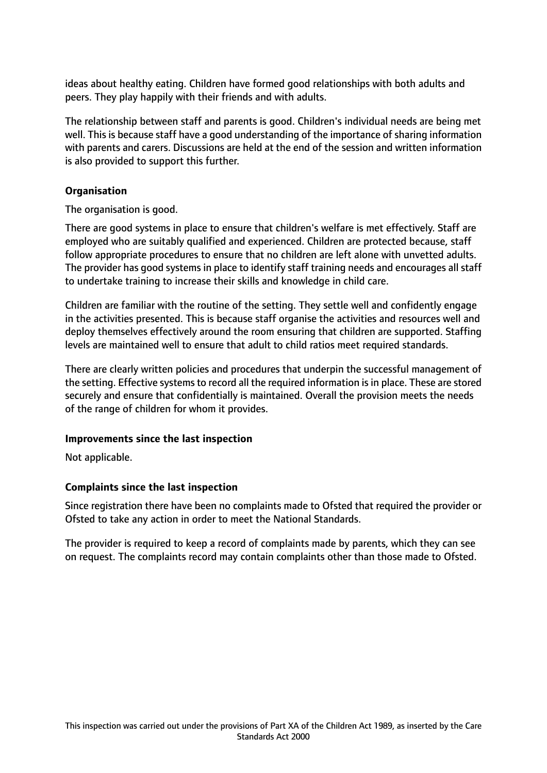ideas about healthy eating. Children have formed good relationships with both adults and peers. They play happily with their friends and with adults.

The relationship between staff and parents is good. Children's individual needs are being met well. This is because staff have a good understanding of the importance of sharing information with parents and carers. Discussions are held at the end of the session and written information is also provided to support this further.

# **Organisation**

The organisation is good.

There are good systems in place to ensure that children's welfare is met effectively. Staff are employed who are suitably qualified and experienced. Children are protected because, staff follow appropriate procedures to ensure that no children are left alone with unvetted adults. The provider has good systems in place to identify staff training needs and encourages all staff to undertake training to increase their skills and knowledge in child care.

Children are familiar with the routine of the setting. They settle well and confidently engage in the activities presented. This is because staff organise the activities and resources well and deploy themselves effectively around the room ensuring that children are supported. Staffing levels are maintained well to ensure that adult to child ratios meet required standards.

There are clearly written policies and procedures that underpin the successful management of the setting. Effective systems to record all the required information is in place. These are stored securely and ensure that confidentially is maintained. Overall the provision meets the needs of the range of children for whom it provides.

# **Improvements since the last inspection**

Not applicable.

# **Complaints since the last inspection**

Since registration there have been no complaints made to Ofsted that required the provider or Ofsted to take any action in order to meet the National Standards.

The provider is required to keep a record of complaints made by parents, which they can see on request. The complaints record may contain complaints other than those made to Ofsted.